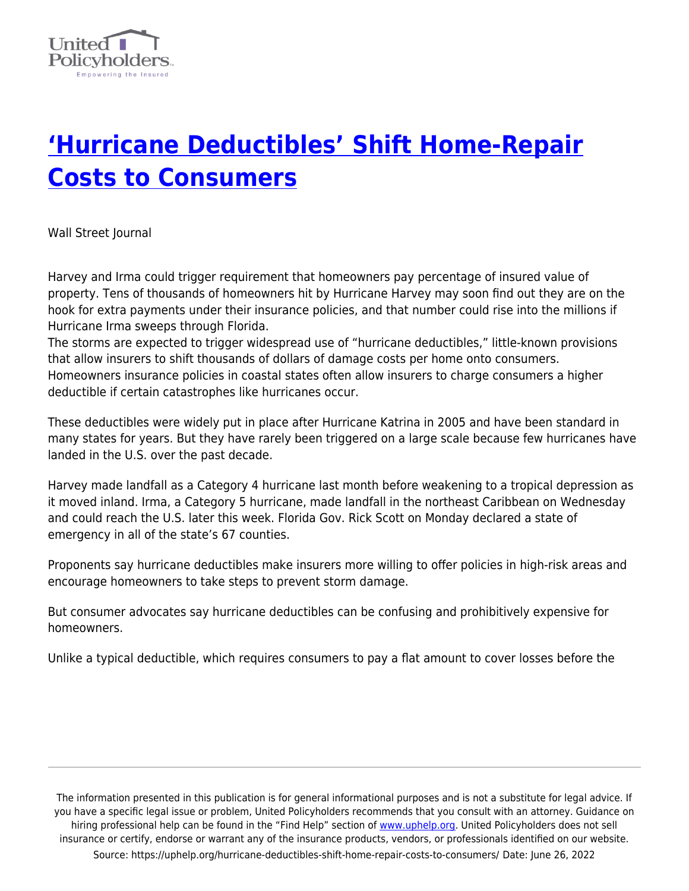

## **['Hurricane Deductibles' Shift Home-Repair](https://uphelp.org/hurricane-deductibles-shift-home-repair-costs-to-consumers/) [Costs to Consumers](https://uphelp.org/hurricane-deductibles-shift-home-repair-costs-to-consumers/)**

Wall Street Journal

Harvey and Irma could trigger requirement that homeowners pay percentage of insured value of property. Tens of thousands of homeowners hit by Hurricane Harvey may soon find out they are on the hook for extra payments under their insurance policies, and that number could rise into the millions if Hurricane Irma sweeps through Florida.

The storms are expected to trigger widespread use of "hurricane deductibles," little-known provisions that allow insurers to shift thousands of dollars of damage costs per home onto consumers. Homeowners insurance policies in coastal states often allow insurers to charge consumers a higher deductible if certain catastrophes like hurricanes occur.

These deductibles were widely put in place after Hurricane Katrina in 2005 and have been standard in many states for years. But they have rarely been triggered on a large scale because few hurricanes have landed in the U.S. over the past decade.

Harvey made landfall as a Category 4 hurricane last month before weakening to a tropical depression as it moved inland. Irma, a Category 5 hurricane, made landfall in the northeast Caribbean on Wednesday and could reach the U.S. later this week. Florida Gov. Rick Scott on Monday declared a state of emergency in all of the state's 67 counties.

Proponents say hurricane deductibles make insurers more willing to offer policies in high-risk areas and encourage homeowners to take steps to prevent storm damage.

But consumer advocates say hurricane deductibles can be confusing and prohibitively expensive for homeowners.

Unlike a typical deductible, which requires consumers to pay a flat amount to cover losses before the

The information presented in this publication is for general informational purposes and is not a substitute for legal advice. If you have a specific legal issue or problem, United Policyholders recommends that you consult with an attorney. Guidance on hiring professional help can be found in the "Find Help" section of [www.uphelp.org.](http://www.uphelp.org/) United Policyholders does not sell insurance or certify, endorse or warrant any of the insurance products, vendors, or professionals identified on our website. Source: https://uphelp.org/hurricane-deductibles-shift-home-repair-costs-to-consumers/ Date: June 26, 2022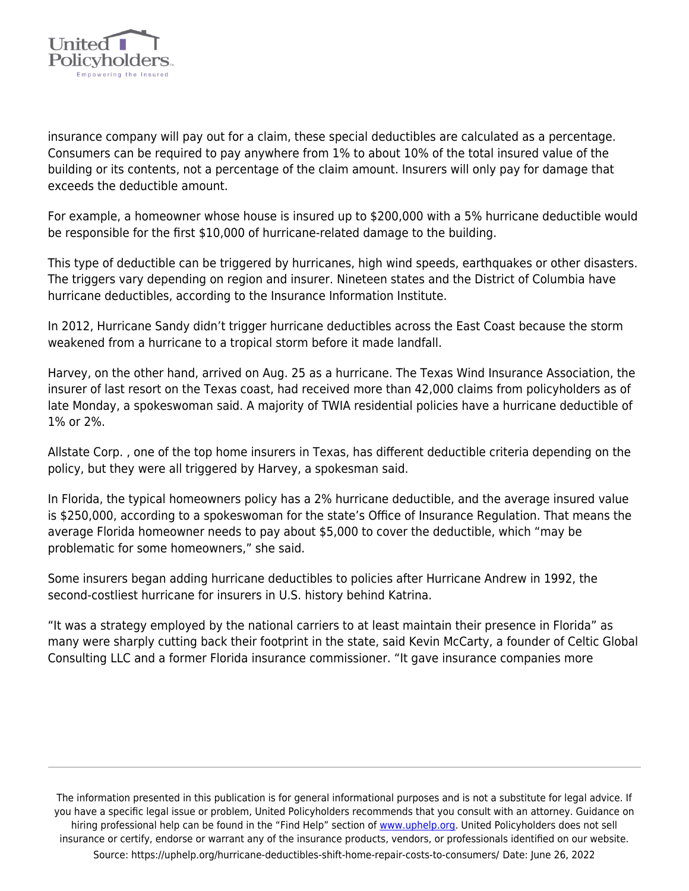

insurance company will pay out for a claim, these special deductibles are calculated as a percentage. Consumers can be required to pay anywhere from 1% to about 10% of the total insured value of the building or its contents, not a percentage of the claim amount. Insurers will only pay for damage that exceeds the deductible amount.

For example, a homeowner whose house is insured up to \$200,000 with a 5% hurricane deductible would be responsible for the first \$10,000 of hurricane-related damage to the building.

This type of deductible can be triggered by hurricanes, high wind speeds, earthquakes or other disasters. The triggers vary depending on region and insurer. Nineteen states and the District of Columbia have hurricane deductibles, according to the Insurance Information Institute.

In 2012, Hurricane Sandy didn't trigger hurricane deductibles across the East Coast because the storm weakened from a hurricane to a tropical storm before it made landfall.

Harvey, on the other hand, arrived on Aug. 25 as a hurricane. The Texas Wind Insurance Association, the insurer of last resort on the Texas coast, had received more than 42,000 claims from policyholders as of late Monday, a spokeswoman said. A majority of TWIA residential policies have a hurricane deductible of 1% or 2%.

Allstate Corp. , one of the top home insurers in Texas, has different deductible criteria depending on the policy, but they were all triggered by Harvey, a spokesman said.

In Florida, the typical homeowners policy has a 2% hurricane deductible, and the average insured value is \$250,000, according to a spokeswoman for the state's Office of Insurance Regulation. That means the average Florida homeowner needs to pay about \$5,000 to cover the deductible, which "may be problematic for some homeowners," she said.

Some insurers began adding hurricane deductibles to policies after Hurricane Andrew in 1992, the second-costliest hurricane for insurers in U.S. history behind Katrina.

"It was a strategy employed by the national carriers to at least maintain their presence in Florida" as many were sharply cutting back their footprint in the state, said Kevin McCarty, a founder of Celtic Global Consulting LLC and a former Florida insurance commissioner. "It gave insurance companies more

The information presented in this publication is for general informational purposes and is not a substitute for legal advice. If you have a specific legal issue or problem, United Policyholders recommends that you consult with an attorney. Guidance on hiring professional help can be found in the "Find Help" section of [www.uphelp.org.](http://www.uphelp.org/) United Policyholders does not sell insurance or certify, endorse or warrant any of the insurance products, vendors, or professionals identified on our website. Source: https://uphelp.org/hurricane-deductibles-shift-home-repair-costs-to-consumers/ Date: June 26, 2022